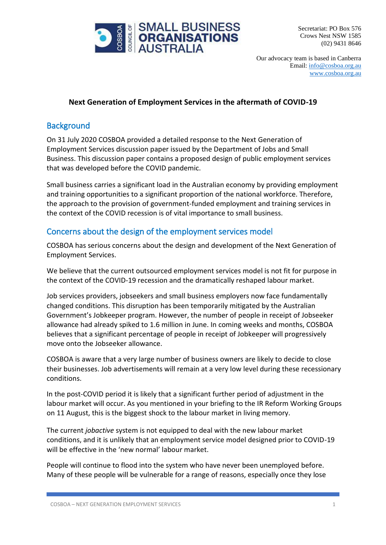

Secretariat: PO Box 576 Crows Nest NSW 1585 (02) 9431 8646

Our advocacy team is based in Canberra Email: [info@cosboa.org.au](mailto:info@cosboa.org.au) [www.cosboa.org.au](http://www.cosboa.org.au/)

# **Next Generation of Employment Services in the aftermath of COVID-19**

# **Background**

On 31 July 2020 COSBOA provided a detailed response to the Next Generation of Employment Services discussion paper issued by the Department of Jobs and Small Business. This discussion paper contains a proposed design of public employment services that was developed before the COVID pandemic.

Small business carries a significant load in the Australian economy by providing employment and training opportunities to a significant proportion of the national workforce. Therefore, the approach to the provision of government-funded employment and training services in the context of the COVID recession is of vital importance to small business.

# Concerns about the design of the employment services model

COSBOA has serious concerns about the design and development of the Next Generation of Employment Services.

We believe that the current outsourced employment services model is not fit for purpose in the context of the COVID-19 recession and the dramatically reshaped labour market.

Job services providers, jobseekers and small business employers now face fundamentally changed conditions. This disruption has been temporarily mitigated by the Australian Government's Jobkeeper program. However, the number of people in receipt of Jobseeker allowance had already spiked to 1.6 million in June. In coming weeks and months, COSBOA believes that a significant percentage of people in receipt of Jobkeeper will progressively move onto the Jobseeker allowance.

COSBOA is aware that a very large number of business owners are likely to decide to close their businesses. Job advertisements will remain at a very low level during these recessionary conditions.

In the post-COVID period it is likely that a significant further period of adjustment in the labour market will occur. As you mentioned in your briefing to the IR Reform Working Groups on 11 August, this is the biggest shock to the labour market in living memory.

The current *jobactive* system is not equipped to deal with the new labour market conditions, and it is unlikely that an employment service model designed prior to COVID-19 will be effective in the 'new normal' labour market.

People will continue to flood into the system who have never been unemployed before. Many of these people will be vulnerable for a range of reasons, especially once they lose

COSBOA – NEXT GENERATION EMPLOYMENT SERVICES 1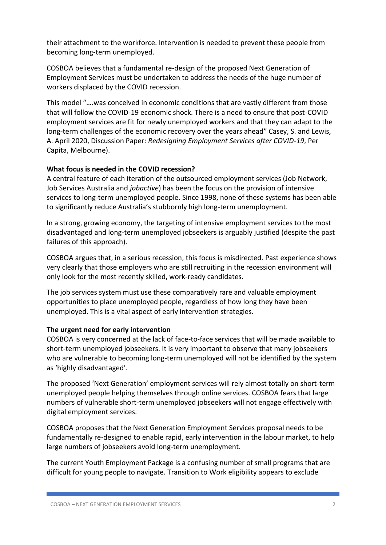their attachment to the workforce. Intervention is needed to prevent these people from becoming long-term unemployed.

COSBOA believes that a fundamental re-design of the proposed Next Generation of Employment Services must be undertaken to address the needs of the huge number of workers displaced by the COVID recession.

This model "….was conceived in economic conditions that are vastly different from those that will follow the COVID-19 economic shock. There is a need to ensure that post-COVID employment services are fit for newly unemployed workers and that they can adapt to the long-term challenges of the economic recovery over the years ahead" Casey, S. and Lewis, A. April 2020, Discussion Paper: *Redesigning Employment Services after COVID-19*, Per Capita, Melbourne).

#### **What focus is needed in the COVID recession?**

A central feature of each iteration of the outsourced employment services (Job Network, Job Services Australia and *jobactive*) has been the focus on the provision of intensive services to long-term unemployed people. Since 1998, none of these systems has been able to significantly reduce Australia's stubbornly high long-term unemployment.

In a strong, growing economy, the targeting of intensive employment services to the most disadvantaged and long-term unemployed jobseekers is arguably justified (despite the past failures of this approach).

COSBOA argues that, in a serious recession, this focus is misdirected. Past experience shows very clearly that those employers who are still recruiting in the recession environment will only look for the most recently skilled, work-ready candidates.

The job services system must use these comparatively rare and valuable employment opportunities to place unemployed people, regardless of how long they have been unemployed. This is a vital aspect of early intervention strategies.

#### **The urgent need for early intervention**

COSBOA is very concerned at the lack of face-to-face services that will be made available to short-term unemployed jobseekers. It is very important to observe that many jobseekers who are vulnerable to becoming long-term unemployed will not be identified by the system as 'highly disadvantaged'.

The proposed 'Next Generation' employment services will rely almost totally on short-term unemployed people helping themselves through online services. COSBOA fears that large numbers of vulnerable short-term unemployed jobseekers will not engage effectively with digital employment services.

COSBOA proposes that the Next Generation Employment Services proposal needs to be fundamentally re-designed to enable rapid, early intervention in the labour market, to help large numbers of jobseekers avoid long-term unemployment.

The current Youth Employment Package is a confusing number of small programs that are difficult for young people to navigate. Transition to Work eligibility appears to exclude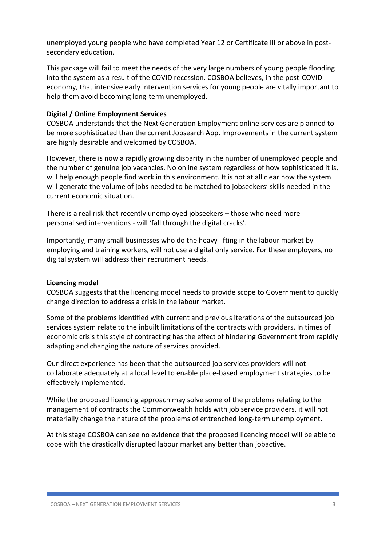unemployed young people who have completed Year 12 or Certificate III or above in postsecondary education.

This package will fail to meet the needs of the very large numbers of young people flooding into the system as a result of the COVID recession. COSBOA believes, in the post-COVID economy, that intensive early intervention services for young people are vitally important to help them avoid becoming long-term unemployed.

#### **Digital / Online Employment Services**

COSBOA understands that the Next Generation Employment online services are planned to be more sophisticated than the current Jobsearch App. Improvements in the current system are highly desirable and welcomed by COSBOA.

However, there is now a rapidly growing disparity in the number of unemployed people and the number of genuine job vacancies. No online system regardless of how sophisticated it is, will help enough people find work in this environment. It is not at all clear how the system will generate the volume of jobs needed to be matched to jobseekers' skills needed in the current economic situation.

There is a real risk that recently unemployed jobseekers – those who need more personalised interventions - will 'fall through the digital cracks'.

Importantly, many small businesses who do the heavy lifting in the labour market by employing and training workers, will not use a digital only service. For these employers, no digital system will address their recruitment needs.

#### **Licencing model**

COSBOA suggests that the licencing model needs to provide scope to Government to quickly change direction to address a crisis in the labour market.

Some of the problems identified with current and previous iterations of the outsourced job services system relate to the inbuilt limitations of the contracts with providers. In times of economic crisis this style of contracting has the effect of hindering Government from rapidly adapting and changing the nature of services provided.

Our direct experience has been that the outsourced job services providers will not collaborate adequately at a local level to enable place-based employment strategies to be effectively implemented.

While the proposed licencing approach may solve some of the problems relating to the management of contracts the Commonwealth holds with job service providers, it will not materially change the nature of the problems of entrenched long-term unemployment.

At this stage COSBOA can see no evidence that the proposed licencing model will be able to cope with the drastically disrupted labour market any better than jobactive.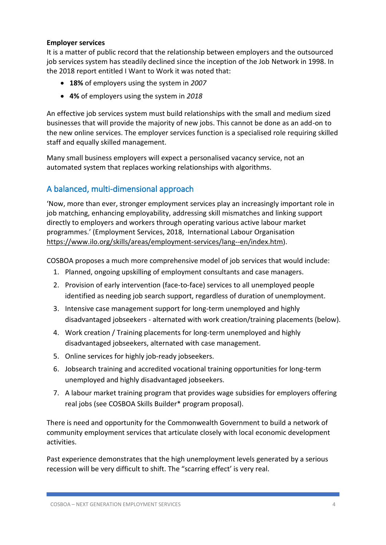#### **Employer services**

It is a matter of public record that the relationship between employers and the outsourced job services system has steadily declined since the inception of the Job Network in 1998. In the 2018 report entitled I Want to Work it was noted that:

- **18%** of employers using the system in *2007*
- **4%** of employers using the system in *2018*

An effective job services system must build relationships with the small and medium sized businesses that will provide the majority of new jobs. This cannot be done as an add-on to the new online services. The employer services function is a specialised role requiring skilled staff and equally skilled management.

Many small business employers will expect a personalised vacancy service, not an automated system that replaces working relationships with algorithms.

# A balanced, multi-dimensional approach

'Now, more than ever, stronger employment services play an increasingly important role in job matching, enhancing employability, addressing skill mismatches and linking support directly to employers and workers through operating various active labour market programmes.' (Employment Services, 2018, International Labour Organisation [https://www.ilo.org/skills/areas/employment-services/lang--en/index.htm\)](https://www.ilo.org/skills/areas/employment-services/lang--en/index.htm).

COSBOA proposes a much more comprehensive model of job services that would include:

- 1. Planned, ongoing upskilling of employment consultants and case managers.
- 2. Provision of early intervention (face-to-face) services to all unemployed people identified as needing job search support, regardless of duration of unemployment.
- 3. Intensive case management support for long-term unemployed and highly disadvantaged jobseekers - alternated with work creation/training placements (below).
- 4. Work creation / Training placements for long-term unemployed and highly disadvantaged jobseekers, alternated with case management.
- 5. Online services for highly job-ready jobseekers.
- 6. Jobsearch training and accredited vocational training opportunities for long-term unemployed and highly disadvantaged jobseekers.
- 7. A labour market training program that provides wage subsidies for employers offering real jobs (see COSBOA Skills Builder\* program proposal).

There is need and opportunity for the Commonwealth Government to build a network of community employment services that articulate closely with local economic development activities.

Past experience demonstrates that the high unemployment levels generated by a serious recession will be very difficult to shift. The "scarring effect' is very real.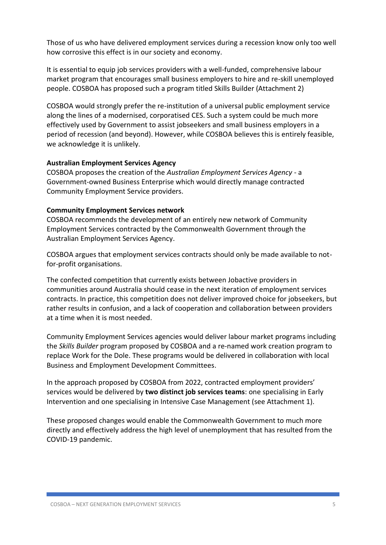Those of us who have delivered employment services during a recession know only too well how corrosive this effect is in our society and economy.

It is essential to equip job services providers with a well-funded, comprehensive labour market program that encourages small business employers to hire and re-skill unemployed people. COSBOA has proposed such a program titled Skills Builder (Attachment 2)

COSBOA would strongly prefer the re-institution of a universal public employment service along the lines of a modernised, corporatised CES. Such a system could be much more effectively used by Government to assist jobseekers and small business employers in a period of recession (and beyond). However, while COSBOA believes this is entirely feasible, we acknowledge it is unlikely.

#### **Australian Employment Services Agency**

COSBOA proposes the creation of the *Australian Employment Services Agency* - a Government-owned Business Enterprise which would directly manage contracted Community Employment Service providers.

#### **Community Employment Services network**

COSBOA recommends the development of an entirely new network of Community Employment Services contracted by the Commonwealth Government through the Australian Employment Services Agency.

COSBOA argues that employment services contracts should only be made available to notfor-profit organisations.

The confected competition that currently exists between Jobactive providers in communities around Australia should cease in the next iteration of employment services contracts. In practice, this competition does not deliver improved choice for jobseekers, but rather results in confusion, and a lack of cooperation and collaboration between providers at a time when it is most needed.

Community Employment Services agencies would deliver labour market programs including the *Skills Builder* program proposed by COSBOA and a re-named work creation program to replace Work for the Dole. These programs would be delivered in collaboration with local Business and Employment Development Committees.

In the approach proposed by COSBOA from 2022, contracted employment providers' services would be delivered by **two distinct job services teams**: one specialising in Early Intervention and one specialising in Intensive Case Management (see Attachment 1).

These proposed changes would enable the Commonwealth Government to much more directly and effectively address the high level of unemployment that has resulted from the COVID-19 pandemic.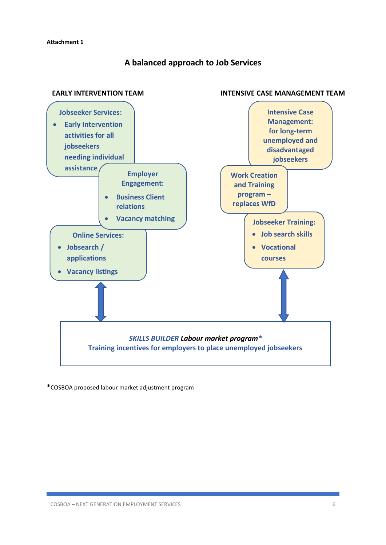### **A balanced approach to Job Services**



\*COSBOA proposed labour market adjustment program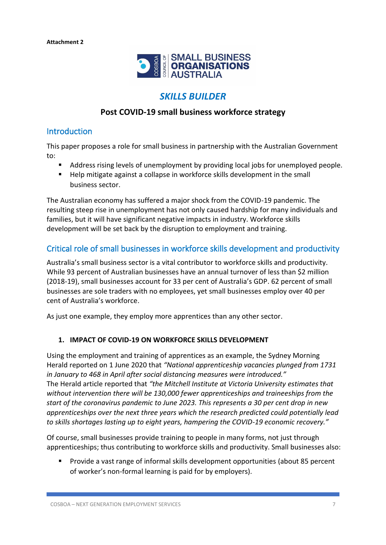

# *SKILLS BUILDER*

### **Post COVID-19 small business workforce strategy**

### Introduction

This paper proposes a role for small business in partnership with the Australian Government to:

- Address rising levels of unemployment by providing local jobs for unemployed people.
- Help mitigate against a collapse in workforce skills development in the small business sector.

The Australian economy has suffered a major shock from the COVID-19 pandemic. The resulting steep rise in unemployment has not only caused hardship for many individuals and families, but it will have significant negative impacts in industry. Workforce skills development will be set back by the disruption to employment and training.

# Critical role of small businesses in workforce skills development and productivity

Australia's small business sector is a vital contributor to workforce skills and productivity. While 93 percent of Australian businesses have an annual turnover of less than \$2 million (2018-19), small businesses account for 33 per cent of Australia's GDP. 62 percent of small businesses are sole traders with no employees, yet small businesses employ over 40 per cent of Australia's workforce.

As just one example, they employ more apprentices than any other sector.

#### **1. IMPACT OF COVID-19 ON WORKFORCE SKILLS DEVELOPMENT**

Using the employment and training of apprentices as an example, the Sydney Morning Herald reported on 1 June 2020 that *"National apprenticeship vacancies plunged from 1731 in January to 468 in April after social distancing measures were introduced."* The Herald article reported that *"the Mitchell Institute at Victoria University estimates that without intervention there will be 130,000 fewer apprenticeships and traineeships from the start of the coronavirus pandemic to June 2023. This represents a 30 per cent drop in new apprenticeships over the next three years which the research predicted could potentially lead to skills shortages lasting up to eight years, hampering the COVID-19 economic recovery."*

Of course, small businesses provide training to people in many forms, not just through apprenticeships; thus contributing to workforce skills and productivity. Small businesses also:

▪ Provide a vast range of informal skills development opportunities (about 85 percent of worker's non-formal learning is paid for by employers).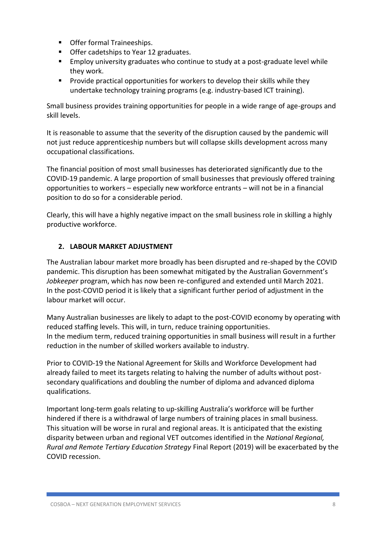- Offer formal Traineeships.
- Offer cadetships to Year 12 graduates.
- Employ university graduates who continue to study at a post-graduate level while they work.
- Provide practical opportunities for workers to develop their skills while they undertake technology training programs (e.g. industry-based ICT training).

Small business provides training opportunities for people in a wide range of age-groups and skill levels.

It is reasonable to assume that the severity of the disruption caused by the pandemic will not just reduce apprenticeship numbers but will collapse skills development across many occupational classifications.

The financial position of most small businesses has deteriorated significantly due to the COVID-19 pandemic. A large proportion of small businesses that previously offered training opportunities to workers – especially new workforce entrants – will not be in a financial position to do so for a considerable period.

Clearly, this will have a highly negative impact on the small business role in skilling a highly productive workforce.

### **2. LABOUR MARKET ADJUSTMENT**

The Australian labour market more broadly has been disrupted and re-shaped by the COVID pandemic. This disruption has been somewhat mitigated by the Australian Government's *Jobkeeper* program, which has now been re-configured and extended until March 2021. In the post-COVID period it is likely that a significant further period of adjustment in the labour market will occur.

Many Australian businesses are likely to adapt to the post-COVID economy by operating with reduced staffing levels. This will, in turn, reduce training opportunities. In the medium term, reduced training opportunities in small business will result in a further reduction in the number of skilled workers available to industry.

Prior to COVID-19 the National Agreement for Skills and Workforce Development had already failed to meet its targets relating to halving the number of adults without postsecondary qualifications and doubling the number of diploma and advanced diploma qualifications.

Important long-term goals relating to up-skilling Australia's workforce will be further hindered if there is a withdrawal of large numbers of training places in small business. This situation will be worse in rural and regional areas. It is anticipated that the existing disparity between urban and regional VET outcomes identified in the *National Regional, Rural and Remote Tertiary Education Strategy* Final Report (2019) will be exacerbated by the COVID recession.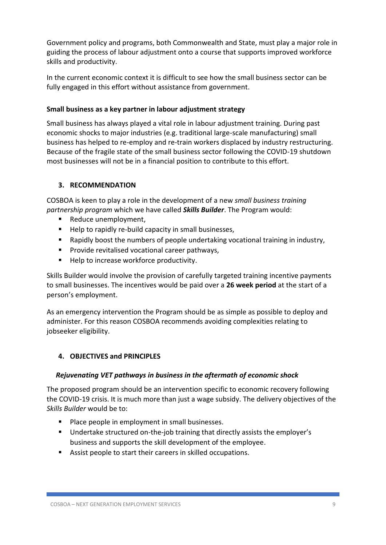Government policy and programs, both Commonwealth and State, must play a major role in guiding the process of labour adjustment onto a course that supports improved workforce skills and productivity.

In the current economic context it is difficult to see how the small business sector can be fully engaged in this effort without assistance from government.

#### **Small business as a key partner in labour adjustment strategy**

Small business has always played a vital role in labour adjustment training. During past economic shocks to major industries (e.g. traditional large-scale manufacturing) small business has helped to re-employ and re-train workers displaced by industry restructuring. Because of the fragile state of the small business sector following the COVID-19 shutdown most businesses will not be in a financial position to contribute to this effort.

#### **3. RECOMMENDATION**

COSBOA is keen to play a role in the development of a new *small business training partnership program* which we have called *Skills Builder*. The Program would:

- Reduce unemployment,
- Help to rapidly re-build capacity in small businesses,
- Rapidly boost the numbers of people undertaking vocational training in industry,
- Provide revitalised vocational career pathways,
- Help to increase workforce productivity.

Skills Builder would involve the provision of carefully targeted training incentive payments to small businesses. The incentives would be paid over a **26 week period** at the start of a person's employment.

As an emergency intervention the Program should be as simple as possible to deploy and administer. For this reason COSBOA recommends avoiding complexities relating to jobseeker eligibility.

#### **4. OBJECTIVES and PRINCIPLES**

#### *Rejuvenating VET pathways in business in the aftermath of economic shock*

The proposed program should be an intervention specific to economic recovery following the COVID-19 crisis. It is much more than just a wage subsidy. The delivery objectives of the *Skills Builder* would be to:

- Place people in employment in small businesses.
- Undertake structured on-the-job training that directly assists the employer's business and supports the skill development of the employee.
- Assist people to start their careers in skilled occupations.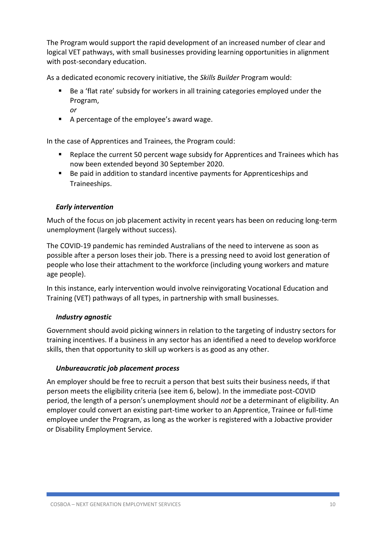The Program would support the rapid development of an increased number of clear and logical VET pathways, with small businesses providing learning opportunities in alignment with post-secondary education.

As a dedicated economic recovery initiative, the *Skills Builder* Program would:

- Be a 'flat rate' subsidy for workers in all training categories employed under the Program,
	- *or*
- A percentage of the employee's award wage.

In the case of Apprentices and Trainees, the Program could:

- Replace the current 50 percent wage subsidy for Apprentices and Trainees which has now been extended beyond 30 September 2020.
- Be paid in addition to standard incentive payments for Apprenticeships and Traineeships.

#### *Early intervention*

Much of the focus on job placement activity in recent years has been on reducing long-term unemployment (largely without success).

The COVID-19 pandemic has reminded Australians of the need to intervene as soon as possible after a person loses their job. There is a pressing need to avoid lost generation of people who lose their attachment to the workforce (including young workers and mature age people).

In this instance, early intervention would involve reinvigorating Vocational Education and Training (VET) pathways of all types, in partnership with small businesses.

#### *Industry agnostic*

Government should avoid picking winners in relation to the targeting of industry sectors for training incentives. If a business in any sector has an identified a need to develop workforce skills, then that opportunity to skill up workers is as good as any other.

#### *Unbureaucratic job placement process*

An employer should be free to recruit a person that best suits their business needs, if that person meets the eligibility criteria (see item 6, below). In the immediate post-COVID period, the length of a person's unemployment should *not* be a determinant of eligibility. An employer could convert an existing part-time worker to an Apprentice, Trainee or full-time employee under the Program, as long as the worker is registered with a Jobactive provider or Disability Employment Service.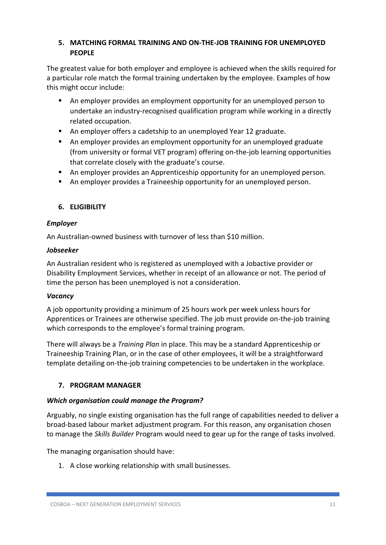### **5. MATCHING FORMAL TRAINING AND ON-THE-JOB TRAINING FOR UNEMPLOYED PEOPLE**

The greatest value for both employer and employee is achieved when the skills required for a particular role match the formal training undertaken by the employee. Examples of how this might occur include:

- An employer provides an employment opportunity for an unemployed person to undertake an industry-recognised qualification program while working in a directly related occupation.
- An employer offers a cadetship to an unemployed Year 12 graduate.
- An employer provides an employment opportunity for an unemployed graduate (from university or formal VET program) offering on-the-job learning opportunities that correlate closely with the graduate's course.
- An employer provides an Apprenticeship opportunity for an unemployed person.
- An employer provides a Traineeship opportunity for an unemployed person.

# **6. ELIGIBILITY**

### *Employer*

An Australian-owned business with turnover of less than \$10 million.

### *Jobseeker*

An Australian resident who is registered as unemployed with a Jobactive provider or Disability Employment Services, whether in receipt of an allowance or not. The period of time the person has been unemployed is not a consideration.

### *Vacancy*

A job opportunity providing a minimum of 25 hours work per week unless hours for Apprentices or Trainees are otherwise specified. The job must provide on-the-job training which corresponds to the employee's formal training program.

There will always be a *Training Plan* in place. This may be a standard Apprenticeship or Traineeship Training Plan, or in the case of other employees, it will be a straightforward template detailing on-the-job training competencies to be undertaken in the workplace.

### **7. PROGRAM MANAGER**

### *Which organisation could manage the Program?*

Arguably, no single existing organisation has the full range of capabilities needed to deliver a broad-based labour market adjustment program. For this reason, any organisation chosen to manage the *Skills Builder* Program would need to gear up for the range of tasks involved.

The managing organisation should have:

1. A close working relationship with small businesses.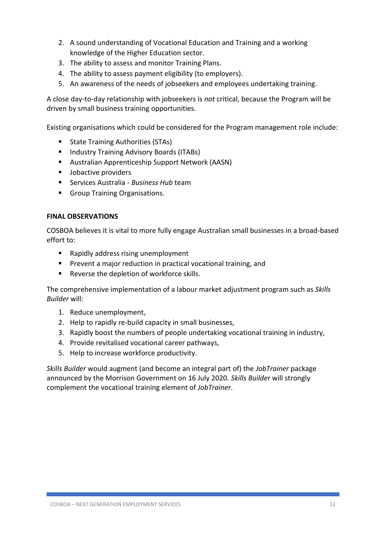- 2. A sound understanding of Vocational Education and Training and a working knowledge of the Higher Education sector.
- 3. The ability to assess and monitor Training Plans.
- 4. The ability to assess payment eligibility (to employers).
- 5. An awareness of the needs of jobseekers and employees undertaking training.

A close day-to-day relationship with jobseekers is *not* critical, because the Program will be driven by small business training opportunities.

Existing organisations which could be considered for the Program management role include:

- **State Training Authorities (STAs)**
- Industry Training Advisory Boards (ITABs)
- Australian Apprenticeship Support Network (AASN)
- Jobactive providers
- Services Australia *Business Hub* team
- Group Training Organisations.

#### **FINAL OBSERVATIONS**

COSBOA believes it is vital to more fully engage Australian small businesses in a broad-based effort to:

- Rapidly address rising unemployment
- Prevent a major reduction in practical vocational training, and
- Reverse the depletion of workforce skills.

The comprehensive implementation of a labour market adjustment program such as *Skills Builder* will:

- 1. Reduce unemployment,
- 2. Help to rapidly re-build capacity in small businesses,
- 3. Rapidly boost the numbers of people undertaking vocational training in industry,
- 4. Provide revitalised vocational career pathways,
- 5. Help to increase workforce productivity.

*Skills Builder* would augment (and become an integral part of) the *JobTrainer* package announced by the Morrison Government on 16 July 2020. *Skills Builder* will strongly complement the vocational training element of *JobTrainer*.